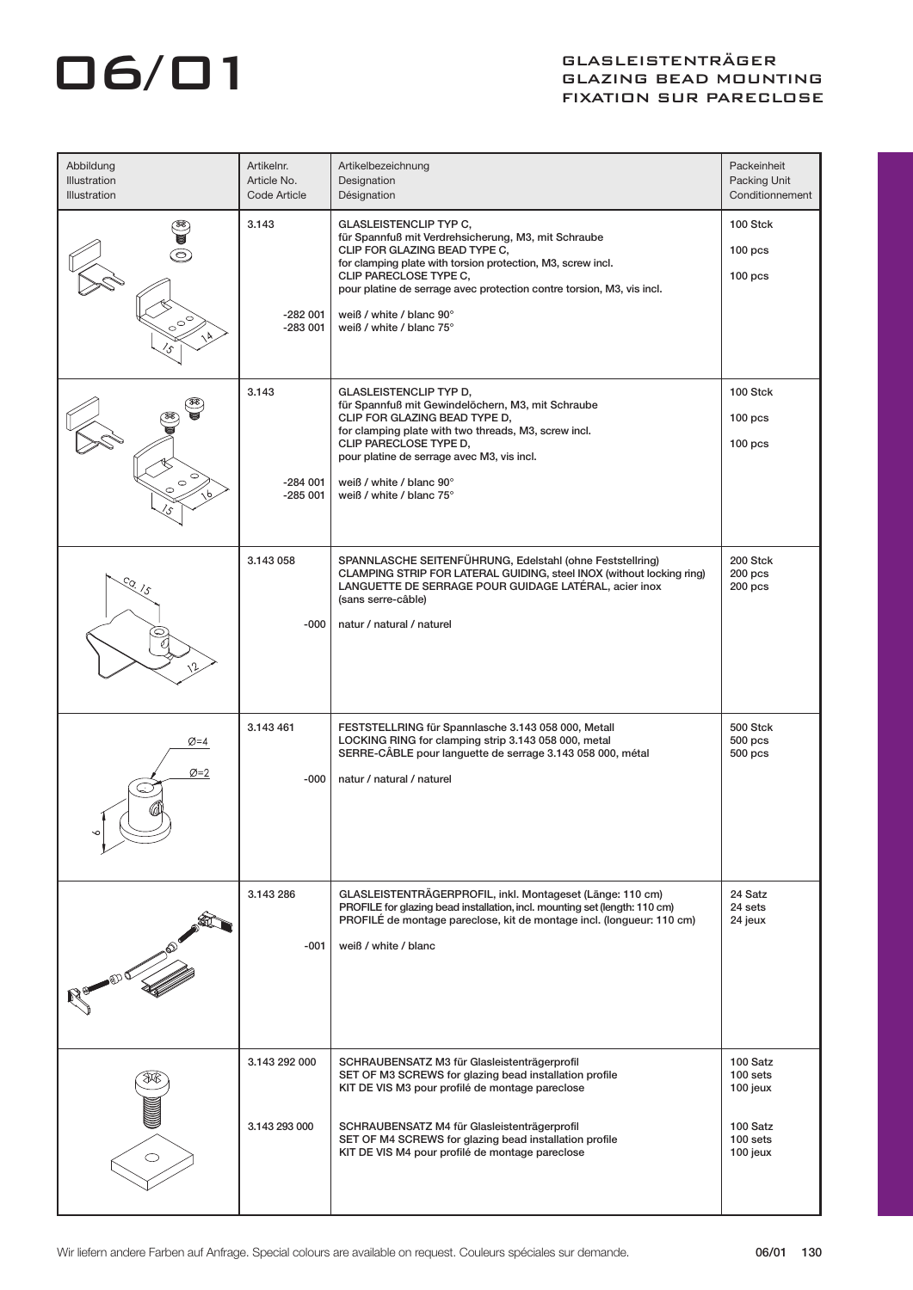## GASLEISTENTRÄGER<br>GLAZING BEAD MOUNT GLAZING BEAD MOUNTING FIXATION SUR PARECLOSE

| Abbildung<br>Illustration<br>Illustration | Artikelnr.<br>Article No.<br>Code Article | Artikelbezeichnung<br>Designation<br>Désignation                                                                                                                                                                                                                                                                                                | Packeinheit<br>Packing Unit<br>Conditionnement                       |
|-------------------------------------------|-------------------------------------------|-------------------------------------------------------------------------------------------------------------------------------------------------------------------------------------------------------------------------------------------------------------------------------------------------------------------------------------------------|----------------------------------------------------------------------|
|                                           | 3.143<br>$-282001$<br>$-283001$           | <b>GLASLEISTENCLIP TYP C,</b><br>für Spannfuß mit Verdrehsicherung, M3, mit Schraube<br>CLIP FOR GLAZING BEAD TYPE C,<br>for clamping plate with torsion protection, M3, screw incl.<br>CLIP PARECLOSE TYPE C,<br>pour platine de serrage avec protection contre torsion, M3, vis incl.<br>weiß / white / blanc 90°<br>weiß / white / blanc 75° | 100 Stck<br>100 <sub>pos</sub><br>100 <sub>pos</sub>                 |
| Ó                                         | 3.143<br>-284 001<br>$-285001$            | <b>GLASLEISTENCLIP TYP D,</b><br>für Spannfuß mit Gewindelöchern, M3, mit Schraube<br>CLIP FOR GLAZING BEAD TYPE D,<br>for clamping plate with two threads, M3, screw incl.<br>CLIP PARECLOSE TYPE D,<br>pour platine de serrage avec M3, vis incl.<br>weiß / white / blanc 90°<br>weiß / white / blanc 75°                                     | 100 Stck<br>100 <sub>pos</sub><br>100 <sub>pos</sub>                 |
| $\mathcal{S}$                             | 3.143 058<br>-000                         | SPANNLASCHE SEITENFÜHRUNG, Edelstahl (ohne Feststellring)<br>CLAMPING STRIP FOR LATERAL GUIDING, steel INOX (without locking ring)<br>LANGUETTE DE SERRAGE POUR GUIDAGE LATÉRAL, acier inox<br>(sans serre-câble)<br>natur / natural / naturel                                                                                                  | 200 Stck<br>$200$ pcs<br>$200$ pcs                                   |
| Ø=4<br>$\varnothing = 2$<br>╰             | 3.143 461<br>-000                         | FESTSTELLRING für Spannlasche 3.143 058 000, Metall<br>LOCKING RING for clamping strip 3.143 058 000, metal<br>SERRE-CÂBLE pour languette de serrage 3.143 058 000, métal<br>natur / natural / naturel                                                                                                                                          | 500 Stck<br>$500$ pcs<br>500 pcs                                     |
|                                           | 3.143 286<br>$-001$                       | GLASLEISTENTRÄGERPROFIL, inkl. Montageset (Länge: 110 cm)<br>PROFILE for glazing bead installation, incl. mounting set (length: 110 cm)<br>PROFILÉ de montage pareclose, kit de montage incl. (longueur: 110 cm)<br>weiß / white / blanc                                                                                                        | 24 Satz<br>24 sets<br>24 jeux                                        |
| $\circ$                                   | 3.143 292 000<br>3.143 293 000            | SCHRAUBENSATZ M3 für Glasleistenträgerprofil<br>SET OF M3 SCREWS for glazing bead installation profile<br>KIT DE VIS M3 pour profilé de montage pareclose<br>SCHRAUBENSATZ M4 für Glasleistenträgerprofil<br>SET OF M4 SCREWS for glazing bead installation profile<br>KIT DE VIS M4 pour profilé de montage pareclose                          | 100 Satz<br>100 sets<br>100 jeux<br>100 Satz<br>100 sets<br>100 jeux |